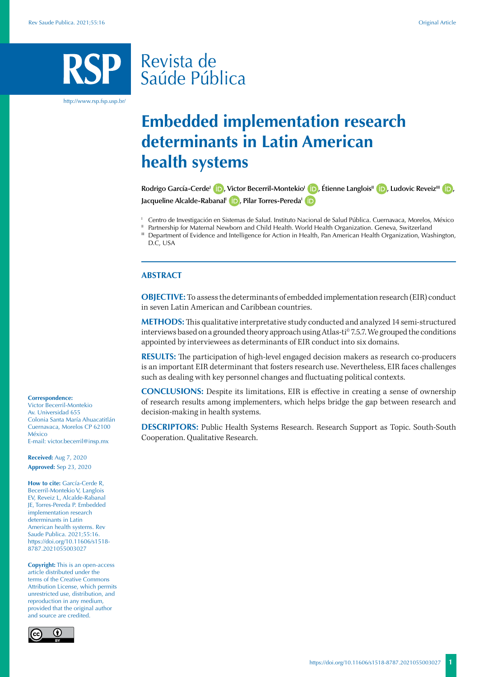# Revista de Saúde Pública

http://www.rsp.fsp.usp.br/

# **Embedded implementation research determinants in Latin American health systems**

**Rodrigo García-Cerde<sup>l</sup> <b>iD**[,](https://orcid.org/0000-0002-7375-1484) Victor Becerril-Montekio<sup>l</sup> **iD**[,](https://orcid.org/0000-0003-3186-9174) Étienne Langlois<sup>II</sup> **iD**, Ludovic Reveiz<sup>III</sup> **iD**, **Jacqueline Alcalde-Rabanal<sup>I</sup> D**[,](https://orcid.org/0000-0002-9172-2302) Pilar Torres-Pereda<sup>1</sup>

<sup>1</sup> Centro de Investigación en Sistemas de Salud. Instituto Nacional de Salud Pública. Cuernavaca, Morelos, México

- <sup>II</sup> Partnership for Maternal Newborn and Child Health. World Health Organization. Geneva, Switzerland
- III Department of Evidence and Intelligence for Action in Health, Pan American Health Organization, Washington, D.C, USA

#### **ABSTRACT**

**OBJECTIVE:** To assess the determinants of embedded implementation research (EIR) conduct in seven Latin American and Caribbean countries.

**METHODS:** This qualitative interpretative study conducted and analyzed 14 semi-structured interviews based on a grounded theory approach using Atlas-ti® 7.5.7. We grouped the conditions appointed by interviewees as determinants of EIR conduct into six domains.

**RESULTS:** The participation of high-level engaged decision makers as research co-producers is an important EIR determinant that fosters research use. Nevertheless, EIR faces challenges such as dealing with key personnel changes and fluctuating political contexts.

**CONCLUSIONS:** Despite its limitations, EIR is effective in creating a sense of ownership of research results among implementers, which helps bridge the gap between research and decision-making in health systems.

**DESCRIPTORS:** Public Health Systems Research. Research Support as Topic. South-South Cooperation. Qualitative Research.

#### **Correspondence:**

Victor Becerril-Montekio Av. Universidad 655 Colonia Santa María Ahuacatitlán Cuernavaca, Morelos CP 62100 México E-mail: victor.becerril@insp.mx

**Received:** Aug 7, 2020 **Approved:** Sep 23, 2020

**How to cite:** García-Cerde R, Becerril-Montekio V, Langlois EV, Reveiz L, Alcalde-Rabanal JE, Torres-Pereda P. Embedded implementation research determinants in Latin American health systems. Rev Saude Publica. 2021;55:16. [https://doi.org/10.11606/s1518-](https://doi.org/10.11606/s1518-8787.2021055003027) [8787.2021055003027](https://doi.org/10.11606/s1518-8787.2021055003027)

**Copyright:** This is an open-access article distributed under the terms of the Creative Commons Attribution License, which permits unrestricted use, distribution, and reproduction in any medium, provided that the original author and source are credited.

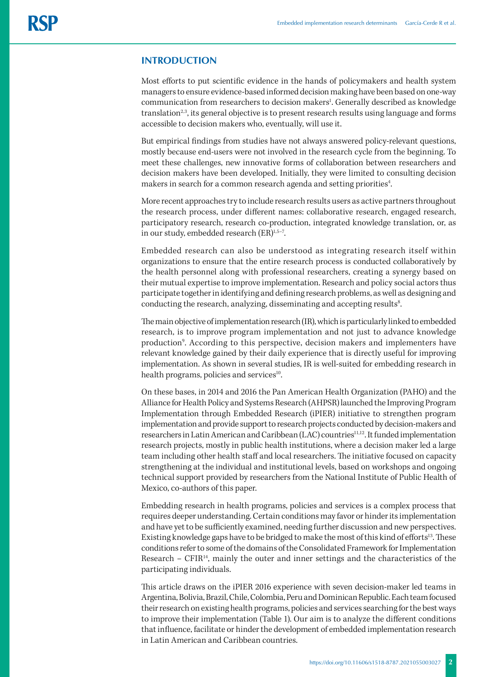# **INTRODUCTION**

Most efforts to put scientific evidence in the hands of policymakers and health system managers to ensure evidence-based informed decision making have been based on one-way communication from researchers to decision makers<sup>1</sup>. Generally described as knowledge  $translation<sup>2,3</sup>$ , its general objective is to present research results using language and forms accessible to decision makers who, eventually, will use it.

But empirical findings from studies have not always answered policy-relevant questions, mostly because end-users were not involved in the research cycle from the beginning. To meet these challenges, new innovative forms of collaboration between researchers and decision makers have been developed. Initially, they were limited to consulting decision makers in search for a common research agenda and setting priorities<sup>4</sup>. .

More recent approaches try to include research results users as active partners throughout the research process, under different names: collaborative research, engaged research, participatory research, research co-production, integrated knowledge translation, or, as in our study, embedded research (ER)<sup>1,5-7</sup>.

Embedded research can also be understood as integrating research itself within organizations to ensure that the entire research process is conducted collaboratively by the health personnel along with professional researchers, creating a synergy based on their mutual expertise to improve implementation. Research and policy social actors thus participate together in identifying and defining research problems, as well as designing and conducting the research, analyzing, disseminating and accepting results<sup>8</sup>. .

The main objective of implementation research (IR), which is particularly linked to embedded research, is to improve program implementation and not just to advance knowledge production<sup>9</sup>. According to this perspective, decision makers and implementers have relevant knowledge gained by their daily experience that is directly useful for improving implementation. As shown in several studies, IR is well-suited for embedding research in health programs, policies and services<sup>10</sup>.

On these bases, in 2014 and 2016 the Pan American Health Organization (PAHO) and the Alliance for Health Policy and Systems Research (AHPSR) launched the Improving Program Implementation through Embedded Research (iPIER) initiative to strengthen program implementation and provide support to research projects conducted by decision-makers and researchers in Latin American and Caribbean (LAC) countries<sup>11,12</sup>. It funded implementation research projects, mostly in public health institutions, where a decision maker led a large team including other health staff and local researchers. The initiative focused on capacity strengthening at the individual and institutional levels, based on workshops and ongoing technical support provided by researchers from the National Institute of Public Health of Mexico, co-authors of this paper.

Embedding research in health programs, policies and services is a complex process that requires deeper understanding. Certain conditions may favor or hinder its implementation and have yet to be sufficiently examined, needing further discussion and new perspectives. Existing knowledge gaps have to be bridged to make the most of this kind of efforts<sup>13</sup>. These conditions refer to some of the domains of the Consolidated Framework for Implementation Research –  $CFIR<sup>14</sup>$ , mainly the outer and inner settings and the characteristics of the participating individuals.

This article draws on the iPIER 2016 experience with seven decision-maker led teams in Argentina, Bolivia, Brazil, Chile, Colombia, Peru and Dominican Republic. Each team focused their research on existing health programs, policies and services searching for the best ways to improve their implementation (Table 1). Our aim is to analyze the different conditions that influence, facilitate or hinder the development of embedded implementation research in Latin American and Caribbean countries.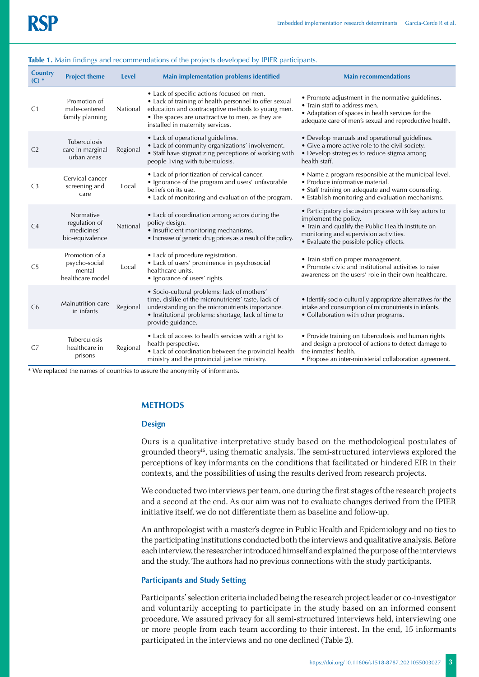#### **Table 1.** Main findings and recommendations of the projects developed by IPIER participants.

| <b>Country</b><br>$(C)$ * | <b>Project theme</b>                                          | <b>Level</b> | <b>Main implementation problems identified</b>                                                                                                                                                                                                     | <b>Main recommendations</b>                                                                                                                                                                                               |
|---------------------------|---------------------------------------------------------------|--------------|----------------------------------------------------------------------------------------------------------------------------------------------------------------------------------------------------------------------------------------------------|---------------------------------------------------------------------------------------------------------------------------------------------------------------------------------------------------------------------------|
| C <sub>1</sub>            | Promotion of<br>male-centered<br>family planning              | National     | • Lack of specific actions focused on men.<br>• Lack of training of health personnel to offer sexual<br>education and contraceptive methods to young men.<br>• The spaces are unattractive to men, as they are<br>installed in maternity services. | • Promote adjustment in the normative guidelines.<br>• Train staff to address men.<br>• Adaptation of spaces in health services for the<br>adequate care of men's sexual and reproductive health.                         |
| C <sub>2</sub>            | Tuberculosis<br>care in marginal<br>urban areas               | Regional     | • Lack of operational guidelines.<br>• Lack of community organizations' involvement.<br>• Staff have stigmatizing perceptions of working with<br>people living with tuberculosis.                                                                  | · Develop manuals and operational guidelines.<br>• Give a more active role to the civil society.<br>• Develop strategies to reduce stigma among<br>health staff.                                                          |
| C <sub>3</sub>            | Cervical cancer<br>screening and<br>care                      | Local        | • Lack of prioritization of cervical cancer.<br>• Ignorance of the program and users' unfavorable<br>beliefs on its use.<br>• Lack of monitoring and evaluation of the program.                                                                    | • Name a program responsible at the municipal level.<br>• Produce informative material.<br>• Staff training on adequate and warm counseling.<br>• Establish monitoring and evaluation mechanisms.                         |
| C <sub>4</sub>            | Normative<br>regulation of<br>medicines'<br>bio-equivalence   | National     | • Lack of coordination among actors during the<br>policy design.<br>• Insufficient monitoring mechanisms.<br>• Increase of generic drug prices as a result of the policy.                                                                          | • Participatory discussion process with key actors to<br>implement the policy.<br>. Train and qualify the Public Health Institute on<br>monitoring and supervision activities.<br>• Evaluate the possible policy effects. |
| C <sub>5</sub>            | Promotion of a<br>psycho-social<br>mental<br>healthcare model | Local        | • Lack of procedure registration.<br>· Lack of users' prominence in psychosocial<br>healthcare units.<br>• Ignorance of users' rights.                                                                                                             | • Train staff on proper management.<br>• Promote civic and institutional activities to raise<br>awareness on the users' role in their own healthcare.                                                                     |
| C <sub>6</sub>            | Malnutrition care<br>in infants                               | Regional     | • Socio-cultural problems: lack of mothers'<br>time, dislike of the micronutrients' taste, lack of<br>understanding on the micronutrients importance.<br>· Institutional problems: shortage, lack of time to<br>provide guidance.                  | · Identify socio-culturally appropriate alternatives for the<br>intake and consumption of micronutrients in infants.<br>• Collaboration with other programs.                                                              |
| C <sub>7</sub>            | Tuberculosis<br>healthcare in<br>prisons                      | Regional     | • Lack of access to health services with a right to<br>health perspective.<br>• Lack of coordination between the provincial health<br>ministry and the provincial justice ministry.                                                                | • Provide training on tuberculosis and human rights<br>and design a protocol of actions to detect damage to<br>the inmates' health.<br>• Propose an inter-ministerial collaboration agreement.                            |

\* We replaced the names of countries to assure the anonymity of informants.

#### **METHODS**

#### **Design**

Ours is a qualitative-interpretative study based on the methodological postulates of grounded theory<sup>15</sup>, using thematic analysis. The semi-structured interviews explored the perceptions of key informants on the conditions that facilitated or hindered EIR in their contexts, and the possibilities of using the results derived from research projects.

We conducted two interviews per team, one during the first stages of the research projects and a second at the end. As our aim was not to evaluate changes derived from the IPIER initiative itself, we do not differentiate them as baseline and follow-up.

An anthropologist with a master's degree in Public Health and Epidemiology and no ties to the participating institutions conducted both the interviews and qualitative analysis. Before each interview, the researcher introduced himself and explained the purpose of the interviews and the study. The authors had no previous connections with the study participants.

### **Participants and Study Setting**

Participants' selection criteria included being the research project leader or co-investigator and voluntarily accepting to participate in the study based on an informed consent procedure. We assured privacy for all semi-structured interviews held, interviewing one or more people from each team according to their interest. In the end, 15 informants participated in the interviews and no one declined (Table 2).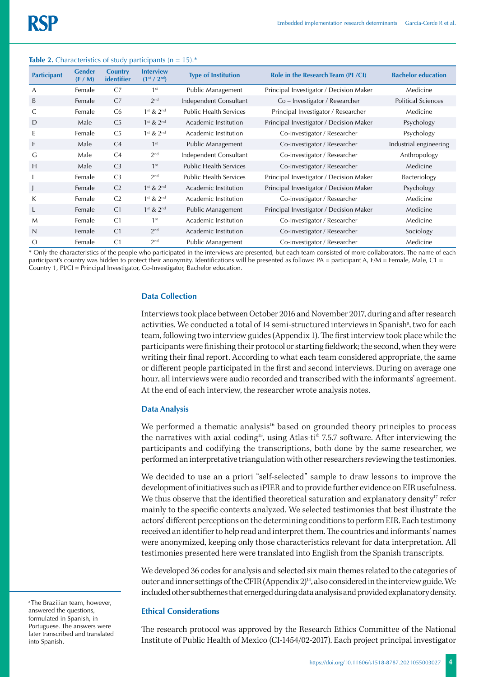### **Table 2.** Characteristics of study participants ( $n = 15$ ).

| <b>Participant</b> | <b>Gender</b><br>(F/M) | <b>Country</b><br>identifier | <b>Interview</b><br>$(1^{st}/2^{nd})$ | <b>Type of Institution</b>    | Role in the Research Team (PI /CI)      | <b>Bachelor education</b> |
|--------------------|------------------------|------------------------------|---------------------------------------|-------------------------------|-----------------------------------------|---------------------------|
| A                  | Female                 | C <sub>7</sub>               | 1 <sup>st</sup>                       | Public Management             | Principal Investigator / Decision Maker | Medicine                  |
| B                  | Female                 | C <sub>7</sub>               | 2 <sup>nd</sup>                       | Independent Consultant        | Co – Investigator / Researcher          | <b>Political Sciences</b> |
| C                  | Female                 | C <sub>6</sub>               | $1st$ & $2nd$                         | <b>Public Health Services</b> | Principal Investigator / Researcher     | Medicine                  |
| D                  | Male                   | C <sub>5</sub>               | $1st$ & $2nd$                         | Academic Institution          | Principal Investigator / Decision Maker | Psychology                |
| E                  | Female                 | C <sub>5</sub>               | $1st$ & $2nd$                         | Academic Institution          | Co-investigator / Researcher            | Psychology                |
| F                  | Male                   | C <sub>4</sub>               | 1 <sup>st</sup>                       | Public Management             | Co-investigator / Researcher            | Industrial engineering    |
| G                  | Male                   | C <sub>4</sub>               | 2 <sup>nd</sup>                       | Independent Consultant        | Co-investigator / Researcher            | Anthropology              |
| H                  | Male                   | C <sub>3</sub>               | 1 <sup>st</sup>                       | <b>Public Health Services</b> | Co-investigator / Researcher            | Medicine                  |
|                    | Female                 | C <sub>3</sub>               | 2 <sup>nd</sup>                       | <b>Public Health Services</b> | Principal Investigator / Decision Maker | Bacteriology              |
| $\mathbf{I}$       | Female                 | C <sub>2</sub>               | $1st$ & $2nd$                         | Academic Institution          | Principal Investigator / Decision Maker | Psychology                |
| K                  | Female                 | C <sub>2</sub>               | $1st$ & $2nd$                         | Academic Institution          | Co-investigator / Researcher            | Medicine                  |
| L                  | Female                 | C <sub>1</sub>               | $1st$ & $2nd$                         | Public Management             | Principal Investigator / Decision Maker | Medicine                  |
| M                  | Female                 | C <sub>1</sub>               | 1 <sup>st</sup>                       | Academic Institution          | Co-investigator / Researcher            | Medicine                  |
| $\mathsf{N}$       | Female                 | C <sub>1</sub>               | 2 <sup>nd</sup>                       | Academic Institution          | Co-investigator / Researcher            | Sociology                 |
| $\circ$            | Female                 | C <sub>1</sub>               | 2 <sup>nd</sup>                       | Public Management             | Co-investigator / Researcher            | Medicine                  |

\* Only the characteristics of the people who participated in the interviews are presented, but each team consisted of more collaborators. The name of each participant's country was hidden to protect their anonymity. Identifications will be presented as follows: PA = participant A, F/M = Female, Male, C1 = Country 1, PI/CI = Principal Investigator, Co-Investigator, Bachelor education.

#### **Data Collection**

Interviews took place between October 2016 and November 2017, during and after research activities. We conducted a total of 14 semi-structured interviews in Spanish<sup>a</sup>, two for each team, following two interview guides (Appendix 1). The first interview took place while the participants were finishing their protocol or starting fieldwork; the second, when they were writing their final report. According to what each team considered appropriate, the same or different people participated in the first and second interviews. During on average one hour, all interviews were audio recorded and transcribed with the informants' agreement. At the end of each interview, the researcher wrote analysis notes.

#### **Data Analysis**

We performed a thematic analysis<sup>16</sup> based on grounded theory principles to process the narratives with axial coding<sup>15</sup>, using Atlas-ti<sup>®</sup> 7.5.7 software. After interviewing the participants and codifying the transcriptions, both done by the same researcher, we performed an interpretative triangulation with other researchers reviewing the testimonies.

We decided to use an a priori "self-selected" sample to draw lessons to improve the development of initiatives such as iPIER and to provide further evidence on EIR usefulness. We thus observe that the identified theoretical saturation and explanatory density<sup>17</sup> refer mainly to the specific contexts analyzed. We selected testimonies that best illustrate the actors' different perceptions on the determining conditions to perform EIR. Each testimony received an identifier to help read and interpret them. The countries and informants' names were anonymized, keeping only those characteristics relevant for data interpretation. All testimonies presented here were translated into English from the Spanish transcripts.

We developed 36 codes for analysis and selected six main themes related to the categories of outer and inner settings of the CFIR (Appendix 2)<sup>14</sup>, also considered in the interview guide. We included other subthemes that emerged during data analysis and provided explanatory density.

### **Ethical Considerations**

The research protocol was approved by the Research Ethics Committee of the National Institute of Public Health of Mexico (CI-1454/02-2017). Each project principal investigator

<sup>a</sup> The Brazilian team, however, answered the questions, formulated in Spanish, in Portuguese. The answers were later transcribed and translated into Spanish.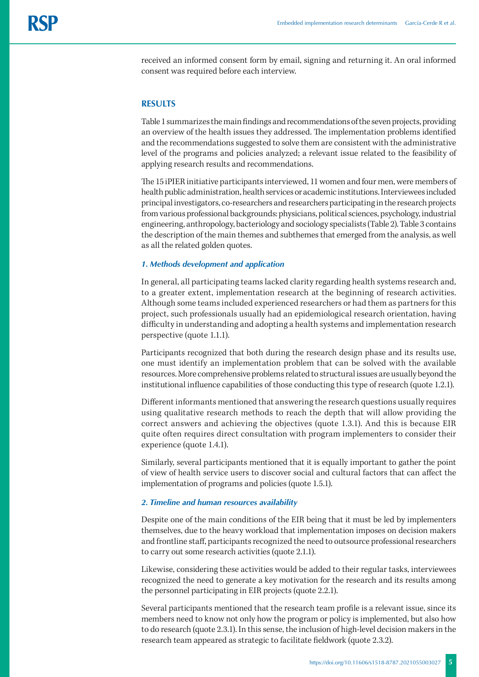received an informed consent form by email, signing and returning it. An oral informed consent was required before each interview.

#### **RESULTS**

Table 1 summarizes the main findings and recommendations of the seven projects, providing an overview of the health issues they addressed. The implementation problems identified and the recommendations suggested to solve them are consistent with the administrative level of the programs and policies analyzed; a relevant issue related to the feasibility of applying research results and recommendations.

The 15 iPIER initiative participants interviewed, 11 women and four men, were members of health public administration, health services or academic institutions. Interviewees included principal investigators, co-researchers and researchers participating in the research projects from various professional backgrounds: physicians, political sciences, psychology, industrial engineering, anthropology, bacteriology and sociology specialists (Table 2). Table 3 contains the description of the main themes and subthemes that emerged from the analysis, as well as all the related golden quotes.

#### *1. Methods development and application*

In general, all participating teams lacked clarity regarding health systems research and, to a greater extent, implementation research at the beginning of research activities. Although some teams included experienced researchers or had them as partners for this project, such professionals usually had an epidemiological research orientation, having difficulty in understanding and adopting a health systems and implementation research perspective (quote 1.1.1).

Participants recognized that both during the research design phase and its results use, one must identify an implementation problem that can be solved with the available resources. More comprehensive problems related to structural issues are usually beyond the institutional influence capabilities of those conducting this type of research (quote 1.2.1).

Different informants mentioned that answering the research questions usually requires using qualitative research methods to reach the depth that will allow providing the correct answers and achieving the objectives (quote 1.3.1). And this is because EIR quite often requires direct consultation with program implementers to consider their experience (quote 1.4.1).

Similarly, several participants mentioned that it is equally important to gather the point of view of health service users to discover social and cultural factors that can affect the implementation of programs and policies (quote 1.5.1).

#### *2. Timeline and human resources availability*

Despite one of the main conditions of the EIR being that it must be led by implementers themselves, due to the heavy workload that implementation imposes on decision makers and frontline staff, participants recognized the need to outsource professional researchers to carry out some research activities (quote 2.1.1).

Likewise, considering these activities would be added to their regular tasks, interviewees recognized the need to generate a key motivation for the research and its results among the personnel participating in EIR projects (quote 2.2.1).

Several participants mentioned that the research team profile is a relevant issue, since its members need to know not only how the program or policy is implemented, but also how to do research (quote 2.3.1). In this sense, the inclusion of high-level decision makers in the research team appeared as strategic to facilitate fieldwork (quote 2.3.2).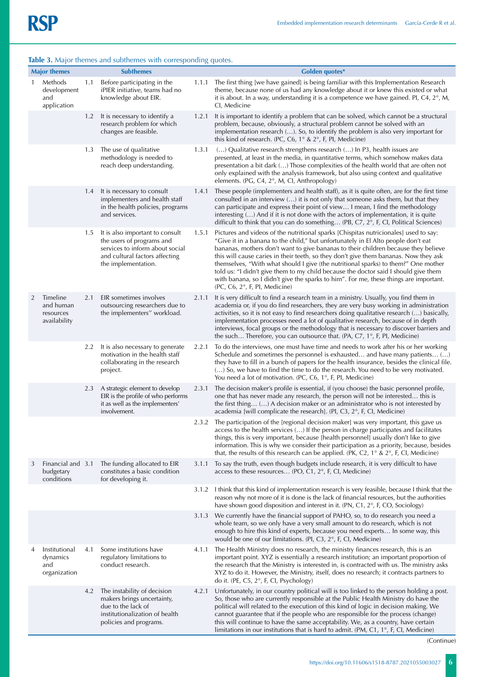|              |                                                    |     | <b>have 3.</b> major themes and subthemes with corresponding quotes.                                                                                     |       |                                                                                                                                                                                                                                                                                                                                                                                                                                                                                                                                                                                                                                                                |
|--------------|----------------------------------------------------|-----|----------------------------------------------------------------------------------------------------------------------------------------------------------|-------|----------------------------------------------------------------------------------------------------------------------------------------------------------------------------------------------------------------------------------------------------------------------------------------------------------------------------------------------------------------------------------------------------------------------------------------------------------------------------------------------------------------------------------------------------------------------------------------------------------------------------------------------------------------|
|              | <b>Major themes</b>                                |     | <b>Subthemes</b>                                                                                                                                         |       | Golden quotes*                                                                                                                                                                                                                                                                                                                                                                                                                                                                                                                                                                                                                                                 |
| $\mathbf{1}$ | Methods<br>development<br>and<br>application       | 1.1 | Before participating in the<br>iPIER initiative, teams had no<br>knowledge about EIR.                                                                    | 1.1.1 | The first thing [we have gained] is being familiar with this Implementation Research<br>theme, because none of us had any knowledge about it or knew this existed or what<br>it is about. In a way, understanding it is a competence we have gained. PI, C4, $2^{\circ}$ , M,<br>CI, Medicine                                                                                                                                                                                                                                                                                                                                                                  |
|              |                                                    | 1.2 | It is necessary to identify a<br>research problem for which<br>changes are feasible.                                                                     | 1.2.1 | It is important to identify a problem that can be solved, which cannot be a structural<br>problem, because, obviously, a structural problem cannot be solved with an<br>implementation research (). So, to identify the problem is also very important for<br>this kind of research. (PC, C6, $1^{\circ}$ & $2^{\circ}$ , F, PI, Medicine)                                                                                                                                                                                                                                                                                                                     |
|              |                                                    | 1.3 | The use of qualitative<br>methodology is needed to<br>reach deep understanding.                                                                          | 1.3.1 | () Qualitative research strengthens research () In P3, health issues are<br>presented, at least in the media, in quantitative terms, which somehow makes data<br>presentation a bit dark () Those complexities of the health world that are often not<br>only explained with the analysis framework, but also using context and qualitative<br>elements. (PG, C4, 2°, M, CI, Anthropology)                                                                                                                                                                                                                                                                     |
|              |                                                    | 1.4 | It is necessary to consult<br>implementers and health staff<br>in the health policies, programs<br>and services.                                         | 1.4.1 | These people (implementers and health staff), as it is quite often, are for the first time<br>consulted in an interview $()$ it is not only that someone asks them, but that they<br>can participate and express their point of view I mean, I find the methodology<br>interesting () And if it is not done with the actors of implementation, it is quite<br>difficult to think that you can do something (PB, C7, 2°, F, CI, Political Sciences)                                                                                                                                                                                                             |
|              |                                                    | 1.5 | It is also important to consult<br>the users of programs and<br>services to inform about social<br>and cultural factors affecting<br>the implementation. | 1.5.1 | Pictures and videos of the nutritional sparks [Chispitas nutricionales] used to say:<br>"Give it in a banana to the child," but unfortunately in El Alto people don't eat<br>bananas, mothers don't want to give bananas to their children because they believe<br>this will cause caries in their teeth, so they don't give them bananas. Now they ask<br>themselves, "With what should I give (the nutritional sparks) to them?" One mother<br>told us: "I didn't give them to my child because the doctor said I should give them<br>with banana, so I didn't give the sparks to him". For me, these things are important.<br>(PC, C6, 2°, F, PI, Medicine) |
| 2            | Timeline<br>and human<br>resources<br>availability | 2.1 | EIR sometimes involves<br>outsourcing researchers due to<br>the implementers" workload.                                                                  | 2.1.1 | It is very difficult to find a research team in a ministry. Usually, you find them in<br>academia or, if you do find researchers, they are very busy working in administration<br>activities, so it is not easy to find researchers doing qualitative research () basically,<br>implementation processes need a lot of qualitative research, because of in depth<br>interviews, focal groups or the methodology that is necessary to discover barriers and<br>the such Therefore, you can outsource that. (PA, C7, $1^{\circ}$ , F, PI, Medicine)                                                                                                              |
|              |                                                    | 2.2 | It is also necessary to generate<br>motivation in the health staff<br>collaborating in the research<br>project.                                          | 2.2.1 | To do the interviews, one must have time and needs to work after his or her working<br>Schedule and sometimes the personnel is exhausted and have many patients ()<br>they have to fill in a bunch of papers for the health insurance, besides the clinical file.<br>() So, we have to find the time to do the research. You need to be very motivated.<br>You need a lot of motivation. (PC, C6, $1^{\circ}$ , F, PI, Medicine)                                                                                                                                                                                                                               |
|              |                                                    | 2.3 | A strategic element to develop<br>EIR is the profile of who performs<br>it as well as the implementers'<br>involvement.                                  | 2.3.1 | The decision maker's profile is essential, if (you choose) the basic personnel profile,<br>one that has never made any research, the person will not be interested this is<br>the first thing () A decision maker or an administrator who is not interested by<br>academia [will complicate the research]. (PI, C3, 2°, F, CI, Medicine)                                                                                                                                                                                                                                                                                                                       |
|              |                                                    |     |                                                                                                                                                          | 2.3.2 | The participation of the [regional decision maker] was very important, this gave us<br>access to the health services () If the person in charge participates and facilitates<br>things, this is very important, because [health personnel] usually don't like to give<br>information. This is why we consider their participation as a priority, because, besides<br>that, the results of this research can be applied. (PK, C2, $1^{\circ}$ & $2^{\circ}$ , F, Cl, Medicine)                                                                                                                                                                                  |
| 3            | Financial and 3.1<br>budgetary<br>conditions       |     | The funding allocated to EIR<br>constitutes a basic condition<br>for developing it.                                                                      | 3.1.1 | To say the truth, even though budgets include research, it is very difficult to have<br>access to these resources (PO, C1, $2^{\circ}$ , F, Cl, Medicine)                                                                                                                                                                                                                                                                                                                                                                                                                                                                                                      |
|              |                                                    |     |                                                                                                                                                          | 3.1.2 | I think that this kind of implementation research is very feasible, because I think that the<br>reason why not more of it is done is the lack of financial resources, but the authorities<br>have shown good disposition and interest in it. (PN, C1, 2°, F, CO, Sociology)                                                                                                                                                                                                                                                                                                                                                                                    |
|              |                                                    |     |                                                                                                                                                          | 3.1.3 | We currently have the financial support of PAHO, so, to do research you need a<br>whole team, so we only have a very small amount to do research, which is not<br>enough to hire this kind of experts, because you need experts In some way, this<br>would be one of our limitations. (PI, C3, 2°, F, CI, Medicine)                                                                                                                                                                                                                                                                                                                                            |
| 4            | Institutional<br>dynamics<br>and<br>organization   | 4.1 | Some institutions have<br>regulatory limitations to<br>conduct research.                                                                                 | 4.1.1 | The Health Ministry does no research, the ministry finances research, this is an<br>important point. XYZ is essentially a research institution; an important proportion of<br>the research that the Ministry is interested in, is contracted with us. The ministry asks<br>XYZ to do it. However, the Ministry, itself, does no research; it contracts partners to<br>do it. (PE, C5, 2°, F, CI, Psychology)                                                                                                                                                                                                                                                   |
|              |                                                    | 4.2 | The instability of decision<br>makers brings uncertainty,<br>due to the lack of<br>institutionalization of health<br>policies and programs.              | 4.2.1 | Unfortunately, in our country political will is too linked to the person holding a post.<br>So, those who are currently responsible at the Public Health Ministry do have the<br>political will related to the execution of this kind of logic in decision making. We<br>cannot guarantee that if the people who are responsible for the process (change)<br>this will continue to have the same acceptability. We, as a country, have certain<br>limitations in our institutions that is hard to admit. (PM, $C1$ , $1^{\circ}$ , F, Cl, Medicine)                                                                                                            |

# **Table 3.** Major themes and subthemes with corresponding quotes.

(Continue)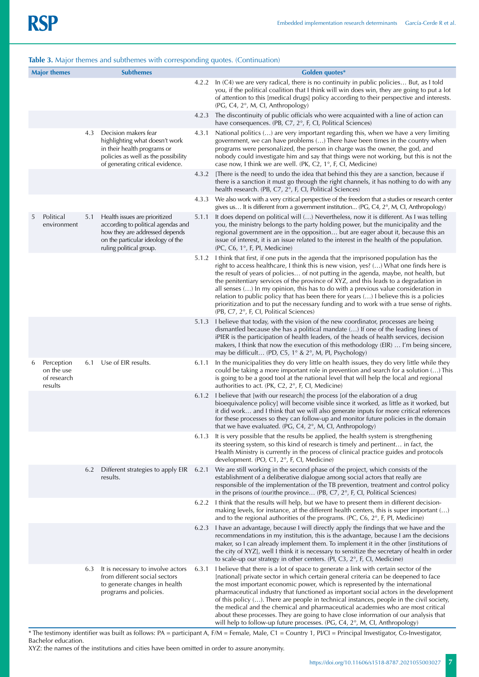| <b>Major themes</b><br><b>Subthemes</b> |                                                    |     | <b>Golden quotes*</b>                                                                                                                                                 |       |                                                                                                                                                                                                                                                                                                                                                                                                                                                                                                                                                                                                                                                                                                                    |
|-----------------------------------------|----------------------------------------------------|-----|-----------------------------------------------------------------------------------------------------------------------------------------------------------------------|-------|--------------------------------------------------------------------------------------------------------------------------------------------------------------------------------------------------------------------------------------------------------------------------------------------------------------------------------------------------------------------------------------------------------------------------------------------------------------------------------------------------------------------------------------------------------------------------------------------------------------------------------------------------------------------------------------------------------------------|
|                                         |                                                    |     |                                                                                                                                                                       | 4.2.2 | In (C4) we are very radical, there is no continuity in public policies But, as I told<br>you, if the political coalition that I think will win does win, they are going to put a lot<br>of attention to this [medical drugs] policy according to their perspective and interests.<br>$(PG, C4, 2^{\circ}, M, Cl, Anthropology)$                                                                                                                                                                                                                                                                                                                                                                                    |
|                                         |                                                    |     |                                                                                                                                                                       | 4.2.3 | The discontinuity of public officials who were acquainted with a line of action can<br>have consequences. (PB, C7, 2°, F, CI, Political Sciences)                                                                                                                                                                                                                                                                                                                                                                                                                                                                                                                                                                  |
|                                         |                                                    | 4.3 | Decision makers fear<br>highlighting what doesn't work<br>in their health programs or<br>policies as well as the possibility<br>of generating critical evidence.      | 4.3.1 | National politics () are very important regarding this, when we have a very limiting<br>government, we can have problems () There have been times in the country when<br>programs were personalized, the person in charge was the owner, the god, and<br>nobody could investigate him and say that things were not working, but this is not the<br>case now, I think we are well. (PK, C2, $1^{\circ}$ , F, CI, Medicine)                                                                                                                                                                                                                                                                                          |
|                                         |                                                    |     |                                                                                                                                                                       | 4.3.2 | [There is the need] to undo the idea that behind this they are a sanction, because if<br>there is a sanction it must go through the right channels, it has nothing to do with any<br>health research. (PB, C7, 2°, F, CI, Political Sciences)                                                                                                                                                                                                                                                                                                                                                                                                                                                                      |
|                                         |                                                    |     |                                                                                                                                                                       | 4.3.3 | We also work with a very critical perspective of the freedom that a studies or research center<br>gives us It is different from a government institution (PG, C4, $2^{\circ}$ , M, CI, Anthropology)                                                                                                                                                                                                                                                                                                                                                                                                                                                                                                               |
| 5                                       | Political<br>environment                           | 5.1 | Health issues are prioritized<br>according to political agendas and<br>how they are addressed depends<br>on the particular ideology of the<br>ruling political group. | 5.1.1 | It does depend on political will () Nevertheless, now it is different. As I was telling<br>you, the ministry belongs to the party holding power, but the municipality and the<br>regional government are in the opposition but are eager about it, because this an<br>issue of interest, it is an issue related to the interest in the health of the population.<br>(PC, C6, 1°, F, PI, Medicine)                                                                                                                                                                                                                                                                                                                  |
|                                         |                                                    |     |                                                                                                                                                                       | 5.1.2 | I think that first, if one puts in the agenda that the imprisoned population has the<br>right to access healthcare, I think this is new vision, yes? () What one finds here is<br>the result of years of policies of not putting in the agenda, maybe, not health, but<br>the penitentiary services of the province of XYZ, and this leads to a degradation in<br>all senses () In my opinion, this has to do with a previous value consideration in<br>relation to public policy that has been there for years $()$ I believe this is a policies<br>prioritization and to put the necessary funding and to work with a true sense of rights.<br>(PB, C7, 2°, F, CI, Political Sciences)                           |
|                                         |                                                    |     |                                                                                                                                                                       | 5.1.3 | I believe that today, with the vision of the new coordinator, processes are being<br>dismantled because she has a political mandate () If one of the leading lines of<br>iPIER is the participation of health leaders, of the heads of health services, decision<br>makers, I think that now the execution of this methodology (EIR)  I'm being sincere,<br>may be difficult (PD, C5, $1^\circ$ & $2^\circ$ , M, PI, Psychology)                                                                                                                                                                                                                                                                                   |
| 6                                       | Perception<br>on the use<br>of research<br>results | 6.1 | Use of EIR results.                                                                                                                                                   | 6.1.1 | In the municipalities they do very little on health issues, they do very little while they<br>could be taking a more important role in prevention and search for a solution () This<br>is going to be a good tool at the national level that will help the local and regional<br>authorities to act. (PK, C2, 2°, F, Cl, Medicine)                                                                                                                                                                                                                                                                                                                                                                                 |
|                                         |                                                    |     |                                                                                                                                                                       | 6.1.2 | I believe that [with our research] the process [of the elaboration of a drug<br>bioequivalence policy] will become visible since it worked, as little as it worked, but<br>it did work and I think that we will also generate inputs for more critical references<br>for these processes so they can follow-up and monitor future policies in the domain<br>that we have evaluated. (PG, C4, 2°, M, CI, Anthropology)                                                                                                                                                                                                                                                                                              |
|                                         |                                                    |     |                                                                                                                                                                       | 6.1.3 | It is very possible that the results be applied, the health system is strengthening<br>its steering system, so this kind of research is timely and pertinent in fact, the<br>Health Ministry is currently in the process of clinical practice guides and protocols<br>development. (PO, C1, 2°, F, CI, Medicine)                                                                                                                                                                                                                                                                                                                                                                                                   |
|                                         |                                                    | 6.2 | Different strategies to apply EIR<br>results.                                                                                                                         | 6.2.1 | We are still working in the second phase of the project, which consists of the<br>establishment of a deliberative dialogue among social actors that really are<br>responsible of the implementation of the TB prevention, treatment and control policy<br>in the prisons of (our)the province (PB, C7, 2°, F, CI, Political Sciences)                                                                                                                                                                                                                                                                                                                                                                              |
|                                         |                                                    |     |                                                                                                                                                                       | 6.2.2 | I think that the results will help, but we have to present them in different decision-<br>making levels, for instance, at the different health centers, this is super important $(\ldots)$<br>and to the regional authorities of the programs. (PC, C6, $2^{\circ}$ , F, PI, Medicine)                                                                                                                                                                                                                                                                                                                                                                                                                             |
|                                         |                                                    |     |                                                                                                                                                                       | 6.2.3 | I have an advantage, because I will directly apply the findings that we have and the<br>recommendations in my institution, this is the advantage, because I am the decisions<br>maker, so I can already implement them. To implement it in the other [institutions of<br>the city of XYZ], well I think it is necessary to sensitize the secretary of health in order<br>to scale-up our strategy in other centers. (PI, C3, 2°, F, CI, Medicine)                                                                                                                                                                                                                                                                  |
|                                         |                                                    | 6.3 | It is necessary to involve actors<br>from different social sectors<br>to generate changes in health<br>programs and policies.                                         | 6.3.1 | I believe that there is a lot of space to generate a link with certain sector of the<br>[national] private sector in which certain general criteria can be deepened to face<br>the most important economic power, which is represented by the international<br>pharmaceutical industry that functioned as important social actors in the development<br>of this policy (). There are people in technical instances, people in the civil society,<br>the medical and the chemical and pharmaceutical academies who are most critical<br>about these processes. They are going to have close information of our analysis that<br>will help to follow-up future processes. $(PG, CA, 2^{\circ}, M, CI, Anthropology)$ |

\* The testimony identifier was built as follows: PA = participant A, F/M = Female, Male, C1 = Country 1, PI/CI = Principal Investigator, Co-Investigator, Bachelor education.

XYZ: the names of the institutions and cities have been omitted in order to assure anonymity.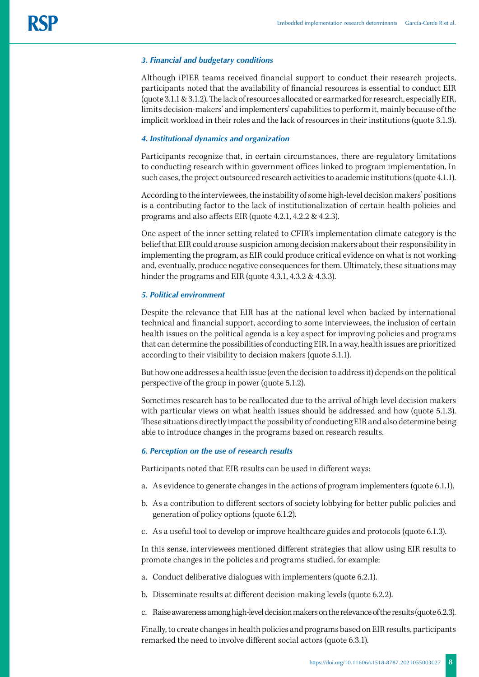# *3. Financial and budgetary conditions*

Although iPIER teams received financial support to conduct their research projects, participants noted that the availability of financial resources is essential to conduct EIR (quote 3.1.1 & 3.1.2). The lack of resources allocated or earmarked for research, especially EIR, limits decision-makers' and implementers' capabilities to perform it, mainly because of the implicit workload in their roles and the lack of resources in their institutions (quote 3.1.3).

# *4. Institutional dynamics and organization*

Participants recognize that, in certain circumstances, there are regulatory limitations to conducting research within government offices linked to program implementation. In such cases, the project outsourced research activities to academic institutions (quote 4.1.1).

According to the interviewees, the instability of some high-level decision makers' positions is a contributing factor to the lack of institutionalization of certain health policies and programs and also affects EIR (quote 4.2.1, 4.2.2 & 4.2.3).

One aspect of the inner setting related to CFIR's implementation climate category is the belief that EIR could arouse suspicion among decision makers about their responsibility in implementing the program, as EIR could produce critical evidence on what is not working and, eventually, produce negative consequences for them. Ultimately, these situations may hinder the programs and EIR (quote 4.3.1, 4.3.2 & 4.3.3).

# *5. Political environment*

Despite the relevance that EIR has at the national level when backed by international technical and financial support, according to some interviewees, the inclusion of certain health issues on the political agenda is a key aspect for improving policies and programs that can determine the possibilities of conducting EIR. In a way, health issues are prioritized according to their visibility to decision makers (quote 5.1.1).

But how one addresses a health issue (even the decision to address it) depends on the political perspective of the group in power (quote 5.1.2).

Sometimes research has to be reallocated due to the arrival of high-level decision makers with particular views on what health issues should be addressed and how (quote 5.1.3). These situations directly impact the possibility of conducting EIR and also determine being able to introduce changes in the programs based on research results.

## *6. Perception on the use of research results*

Participants noted that EIR results can be used in different ways:

- a. As evidence to generate changes in the actions of program implementers (quote 6.1.1).
- b. As a contribution to different sectors of society lobbying for better public policies and generation of policy options (quote 6.1.2).
- c. As a useful tool to develop or improve healthcare guides and protocols (quote 6.1.3).

In this sense, interviewees mentioned different strategies that allow using EIR results to promote changes in the policies and programs studied, for example:

- a. Conduct deliberative dialogues with implementers (quote 6.2.1).
- b. Disseminate results at different decision-making levels (quote 6.2.2).
- c. Raise awareness among high-level decision makers on the relevance of the results (quote 6.2.3).

Finally, to create changes in health policies and programs based on EIR results, participants remarked the need to involve different social actors (quote 6.3.1).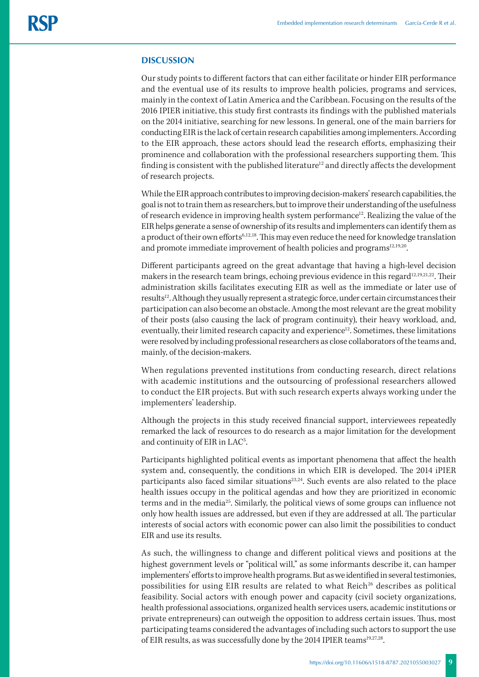# **DISCUSSION**

Our study points to different factors that can either facilitate or hinder EIR performance and the eventual use of its results to improve health policies, programs and services, mainly in the context of Latin America and the Caribbean. Focusing on the results of the 2016 IPIER initiative, this study first contrasts its findings with the published materials on the 2014 initiative, searching for new lessons. In general, one of the main barriers for conducting EIR is the lack of certain research capabilities among implementers. According to the EIR approach, these actors should lead the research efforts, emphasizing their prominence and collaboration with the professional researchers supporting them. This finding is consistent with the published literature<sup>12</sup> and directly affects the development of research projects.

While the EIR approach contributes to improving decision-makers' research capabilities, the goal is not to train them as researchers, but to improve their understanding of the usefulness of research evidence in improving health system performance<sup>12</sup>. Realizing the value of the EIR helps generate a sense of ownership of its results and implementers can identify them as a product of their own efforts<sup>6,12,18</sup>. This may even reduce the need for knowledge translation and promote immediate improvement of health policies and programs<sup>12,19,20</sup>.

Different participants agreed on the great advantage that having a high-level decision makers in the research team brings, echoing previous evidence in this regard<sup>12,19,21,22</sup>. Their administration skills facilitates executing EIR as well as the immediate or later use of results<sup>12</sup>. Although they usually represent a strategic force, under certain circumstances their participation can also become an obstacle. Among the most relevant are the great mobility of their posts (also causing the lack of program continuity), their heavy workload, and, eventually, their limited research capacity and experience<sup>12</sup>. Sometimes, these limitations were resolved by including professional researchers as close collaborators of the teams and, mainly, of the decision-makers.

When regulations prevented institutions from conducting research, direct relations with academic institutions and the outsourcing of professional researchers allowed to conduct the EIR projects. But with such research experts always working under the implementers' leadership.

Although the projects in this study received financial support, interviewees repeatedly remarked the lack of resources to do research as a major limitation for the development and continuity of EIR in LAC<sup>5</sup>. .

Participants highlighted political events as important phenomena that affect the health system and, consequently, the conditions in which EIR is developed. The 2014 iPIER participants also faced similar situations $23,24$ . Such events are also related to the place health issues occupy in the political agendas and how they are prioritized in economic terms and in the media25. Similarly, the political views of some groups can influence not only how health issues are addressed, but even if they are addressed at all. The particular interests of social actors with economic power can also limit the possibilities to conduct EIR and use its results.

As such, the willingness to change and different political views and positions at the highest government levels or "political will," as some informants describe it, can hamper implementers' efforts to improve health programs. But as we identified in several testimonies, possibilities for using EIR results are related to what  $Reich<sup>26</sup>$  describes as political feasibility. Social actors with enough power and capacity (civil society organizations, health professional associations, organized health services users, academic institutions or private entrepreneurs) can outweigh the opposition to address certain issues. Thus, most participating teams considered the advantages of including such actors to support the use of EIR results, as was successfully done by the 2014 IPIER teams<sup>19,27,28</sup>.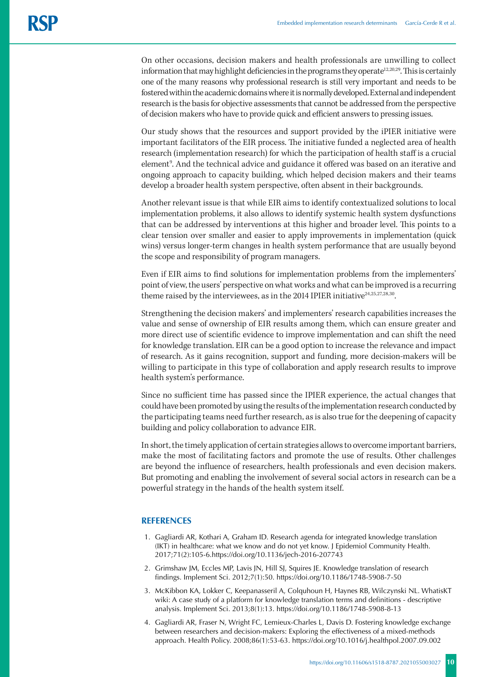On other occasions, decision makers and health professionals are unwilling to collect information that may highlight deficiencies in the programs they operate<sup>12,20,29</sup>. This is certainly one of the many reasons why professional research is still very important and needs to be fostered within the academic domains where it is normally developed. External and independent research is the basis for objective assessments that cannot be addressed from the perspective of decision makers who have to provide quick and efficient answers to pressing issues.

Our study shows that the resources and support provided by the iPIER initiative were important facilitators of the EIR process. The initiative funded a neglected area of health research (implementation research) for which the participation of health staff is a crucial element<sup>9</sup>. And the technical advice and guidance it offered was based on an iterative and ongoing approach to capacity building, which helped decision makers and their teams develop a broader health system perspective, often absent in their backgrounds.

Another relevant issue is that while EIR aims to identify contextualized solutions to local implementation problems, it also allows to identify systemic health system dysfunctions that can be addressed by interventions at this higher and broader level. This points to a clear tension over smaller and easier to apply improvements in implementation (quick wins) versus longer-term changes in health system performance that are usually beyond the scope and responsibility of program managers.

Even if EIR aims to find solutions for implementation problems from the implementers' point of view, the users' perspective on what works and what can be improved is a recurring theme raised by the interviewees, as in the 2014 IPIER initiative $24.25,27,28,30$ .

Strengthening the decision makers' and implementers' research capabilities increases the value and sense of ownership of EIR results among them, which can ensure greater and more direct use of scientific evidence to improve implementation and can shift the need for knowledge translation. EIR can be a good option to increase the relevance and impact of research. As it gains recognition, support and funding, more decision-makers will be willing to participate in this type of collaboration and apply research results to improve health system's performance.

Since no sufficient time has passed since the IPIER experience, the actual changes that could have been promoted by using the results of the implementation research conducted by the participating teams need further research, as is also true for the deepening of capacity building and policy collaboration to advance EIR.

In short, the timely application of certain strategies allows to overcome important barriers, make the most of facilitating factors and promote the use of results. Other challenges are beyond the influence of researchers, health professionals and even decision makers. But promoting and enabling the involvement of several social actors in research can be a powerful strategy in the hands of the health system itself.

## **REFERENCES**

- 1. Gagliardi AR, Kothari A, Graham ID. Research agenda for integrated knowledge translation (IKT) in healthcare: what we know and do not yet know. J Epidemiol Community Health. 2017;71(2):105-6.https://doi.org/10.1136/jech-2016-207743
- 2. Grimshaw JM, Eccles MP, Lavis JN, Hill SJ, Squires JE. Knowledge translation of research findings. Implement Sci. 2012;7(1):50. https://doi.org/10.1186/1748-5908-7-50
- 3. McKibbon KA, Lokker C, Keepanasseril A, Colquhoun H, Haynes RB, Wilczynski NL. WhatisKT wiki: A case study of a platform for knowledge translation terms and definitions - descriptive analysis. Implement Sci. 2013;8(1):13. https://doi.org/10.1186/1748-5908-8-13
- 4. Gagliardi AR, Fraser N, Wright FC, Lemieux-Charles L, Davis D. Fostering knowledge exchange between researchers and decision-makers: Exploring the effectiveness of a mixed-methods approach. Health Policy. 2008;86(1):53-63. https://doi.org/10.1016/j.healthpol.2007.09.002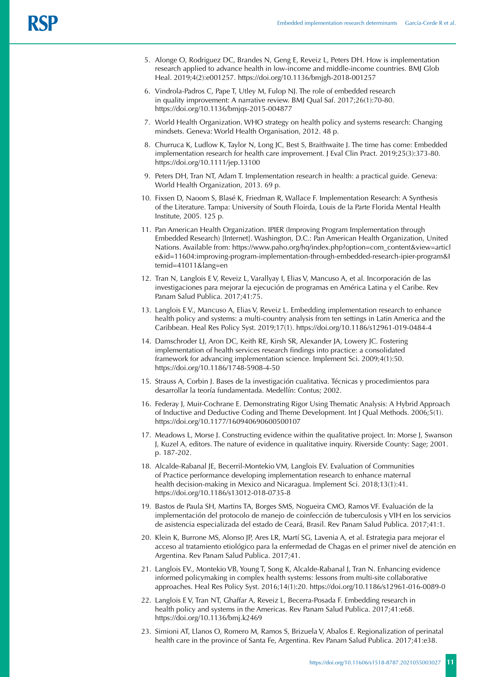- 5. Alonge O, Rodriguez DC, Brandes N, Geng E, Reveiz L, Peters DH. How is implementation research applied to advance health in low-income and middle-income countries. BMJ Glob Heal. 2019;4(2):e001257. https://doi.org/10.1136/bmjgh-2018-001257
- 6. Vindrola-Padros C, Pape T, Utley M, Fulop NJ. The role of embedded research in quality improvement: A narrative review. BMJ Qual Saf. 2017;26(1):70-80. https://doi.org/10.1136/bmjqs-2015-004877
- 7. World Health Organization. WHO strategy on health policy and systems research: Changing mindsets. Geneva: World Health Organisation, 2012. 48 p.
- 8. Churruca K, Ludlow K, Taylor N, Long JC, Best S, Braithwaite J. The time has come: Embedded implementation research for health care improvement. J Eval Clin Pract. 2019;25(3):373-80. https://doi.org/10.1111/jep.13100
- 9. Peters DH, Tran NT, Adam T. Implementation research in health: a practical guide. Geneva: World Health Organization, 2013. 69 p.
- 10. Fixsen D, Naoom S, Blasé K, Friedman R, Wallace F. Implementation Research: A Synthesis of the Literature. Tampa: University of South Floirda, Louis de la Parte Florida Mental Health Institute, 2005. 125 p.
- 11. Pan American Health Organization. IPIER (Improving Program Implementation through Embedded Research) [Internet]. Washington, D.C.: Pan American Health Organization, United Nations. Available from: https://www.paho.org/hq/index.php?option=com\_content&view=articl e&id=11604:improving-program-implementation-through-embedded-research-ipier-program&I temid=41011&lang=en
- 12. Tran N, Langlois E V, Reveiz L, Varallyay I, Elias V, Mancuso A, et al. Incorporación de las investigaciones para mejorar la ejecución de programas en América Latina y el Caribe. Rev Panam Salud Publica. 2017;41:75.
- 13. Langlois E V., Mancuso A, Elias V, Reveiz L. Embedding implementation research to enhance health policy and systems: a multi-country analysis from ten settings in Latin America and the Caribbean. Heal Res Policy Syst. 2019;17(1). https://doi.org/10.1186/s12961-019-0484-4
- 14. Damschroder LJ, Aron DC, Keith RE, Kirsh SR, Alexander JA, Lowery JC. Fostering implementation of health services research findings into practice: a consolidated framework for advancing implementation science. Implement Sci. 2009;4(1):50. https://doi.org/10.1186/1748-5908-4-50
- 15. Strauss A, Corbin J. Bases de la investigación cualitativa. Técnicas y procedimientos para desarrollar la teoría fundamentada. Medellín: Contus; 2002.
- 16. Federay J, Muir-Cochrane E. Demonstrating Rigor Using Thematic Analysis: A Hybrid Approach of Inductive and Deductive Coding and Theme Development. Int J Qual Methods. 2006;5(1). https://doi.org/10.1177/160940690600500107
- 17. Meadows L, Morse J. Constructing evidence within the qualitative project. In: Morse J, Swanson J, Kuzel A, editors. The nature of evidence in qualitative inquiry. Riverside County: Sage; 2001. p. 187-202.
- 18. Alcalde-Rabanal JE, Becerril-Montekio VM, Langlois EV. Evaluation of Communities of Practice performance developing implementation research to enhance maternal health decision-making in Mexico and Nicaragua. Implement Sci. 2018;13(1):41. https://doi.org/10.1186/s13012-018-0735-8
- 19. Bastos de Paula SH, Martins TA, Borges SMS, Nogueira CMO, Ramos VF. Evaluación de la implementación del protocolo de manejo de coinfección de tuberculosis y VIH en los servicios de asistencia especializada del estado de Ceará, Brasil. Rev Panam Salud Publica. 2017;41:1.
- 20. Klein K, Burrone MS, Alonso JP, Ares LR, Martí SG, Lavenia A, et al. Estrategia para mejorar el acceso al tratamiento etiológico para la enfermedad de Chagas en el primer nivel de atención en Argentina. Rev Panam Salud Publica. 2017;41.
- 21. Langlois EV., Montekio VB, Young T, Song K, Alcalde-Rabanal J, Tran N. Enhancing evidence informed policymaking in complex health systems: lessons from multi-site collaborative approaches. Heal Res Policy Syst. 2016;14(1):20. https://doi.org/10.1186/s12961-016-0089-0
- 22. Langlois E V, Tran NT, Ghaffar A, Reveiz L, Becerra-Posada F. Embedding research in health policy and systems in the Americas. Rev Panam Salud Publica. 2017;41:e68. https://doi.org/10.1136/bmj.k2469
- 23. Simioni AT, Llanos O, Romero M, Ramos S, Brizuela V, Abalos E. Regionalization of perinatal health care in the province of Santa Fe, Argentina. Rev Panam Salud Publica. 2017;41:e38.

**11** <https://doi.org/10.11606/s1518-8787.2021055003027>